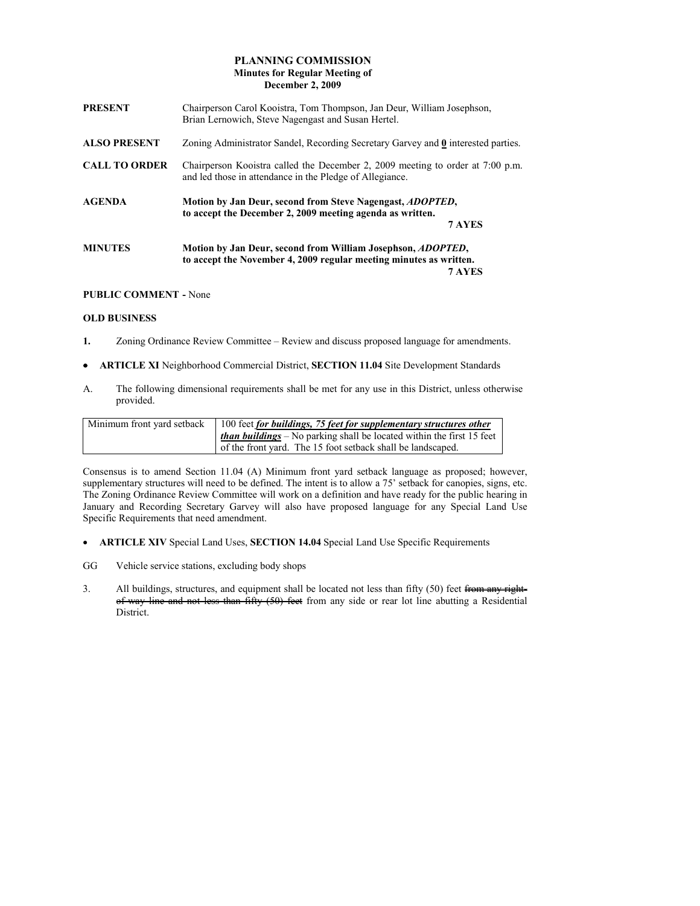# PLANNING COMMISSION Minutes for Regular Meeting of December 2, 2009

| <b>PRESENT</b>       | Chairperson Carol Kooistra, Tom Thompson, Jan Deur, William Josephson,<br>Brian Lernowich, Steve Nagengast and Susan Hertel.                        |  |
|----------------------|-----------------------------------------------------------------------------------------------------------------------------------------------------|--|
| <b>ALSO PRESENT</b>  | Zoning Administrator Sandel, Recording Secretary Garvey and 0 interested parties.                                                                   |  |
| <b>CALL TO ORDER</b> | Chairperson Kooistra called the December 2, 2009 meeting to order at 7:00 p.m.<br>and led those in attendance in the Pledge of Allegiance.          |  |
| <b>AGENDA</b>        | Motion by Jan Deur, second from Steve Nagengast, <i>ADOPTED</i> ,<br>to accept the December 2, 2009 meeting agenda as written.<br>7 AYES            |  |
| <b>MINUTES</b>       | Motion by Jan Deur, second from William Josephson, <i>ADOPTED</i> ,<br>to accept the November 4, 2009 regular meeting minutes as written.<br>7 AYES |  |

### PUBLIC COMMENT - None

## OLD BUSINESS

- 1. Zoning Ordinance Review Committee Review and discuss proposed language for amendments.
- ARTICLE XI Neighborhood Commercial District, SECTION 11.04 Site Development Standards
- A. The following dimensional requirements shall be met for any use in this District, unless otherwise provided.

| Minimum front yard setback | 100 feet for buildings, 75 feet for supplementary structures other                  |
|----------------------------|-------------------------------------------------------------------------------------|
|                            | $\frac{1}{2}$ than buildings – No parking shall be located within the first 15 feet |
|                            | of the front vard. The 15 foot setback shall be landscaped.                         |

Consensus is to amend Section 11.04 (A) Minimum front yard setback language as proposed; however, supplementary structures will need to be defined. The intent is to allow a 75' setback for canopies, signs, etc. The Zoning Ordinance Review Committee will work on a definition and have ready for the public hearing in January and Recording Secretary Garvey will also have proposed language for any Special Land Use Specific Requirements that need amendment.

- ARTICLE XIV Special Land Uses, SECTION 14.04 Special Land Use Specific Requirements
- GG Vehicle service stations, excluding body shops
- 3. All buildings, structures, and equipment shall be located not less than fifty (50) feet from any side or can lot line abutting a Residential not less than fifty (50) feet from any side or rear lot line abutting a Residential District.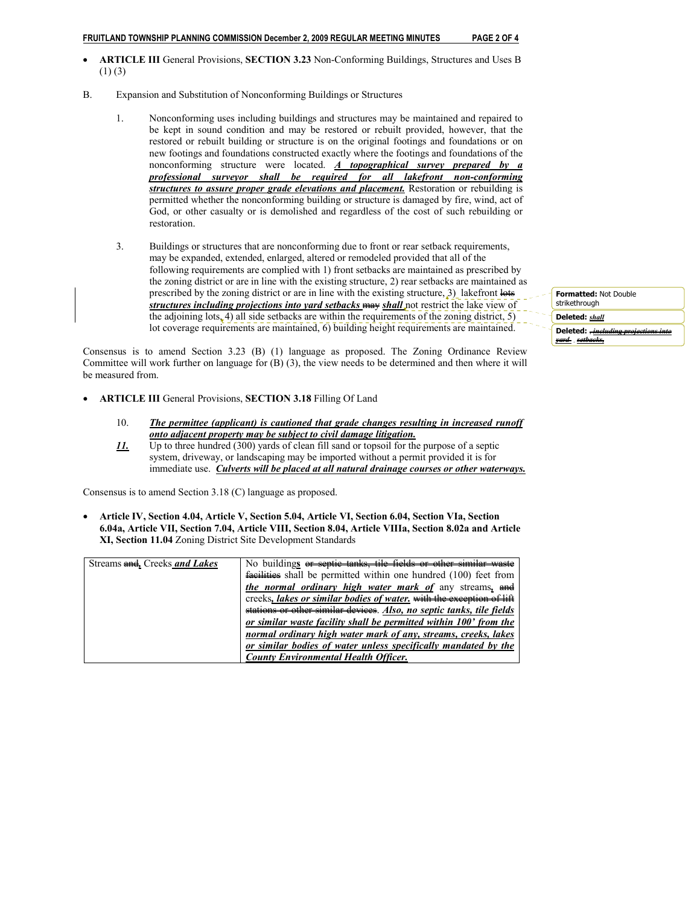### FRUITLAND TOWNSHIP PLANNING COMMISSION December 2, 2009 REGULAR MEETING MINUTES PAGE 2 OF 4

- ARTICLE III General Provisions, SECTION 3.23 Non-Conforming Buildings, Structures and Uses B  $(1)$  (3)
- B. Expansion and Substitution of Nonconforming Buildings or Structures
	- 1. Nonconforming uses including buildings and structures may be maintained and repaired to be kept in sound condition and may be restored or rebuilt provided, however, that the restored or rebuilt building or structure is on the original footings and foundations or on new footings and foundations constructed exactly where the footings and foundations of the nonconforming structure were located. A topographical survey prepared by a professional surveyor shall be required for all lakefront non-conforming structures to assure proper grade elevations and placement. Restoration or rebuilding is permitted whether the nonconforming building or structure is damaged by fire, wind, act of God, or other casualty or is demolished and regardless of the cost of such rebuilding or restoration.
	- 3. Buildings or structures that are nonconforming due to front or rear setback requirements, may be expanded, extended, enlarged, altered or remodeled provided that all of the following requirements are complied with 1) front setbacks are maintained as prescribed by the zoning district or are in line with the existing structure, 2) rear setbacks are maintained as prescribed by the zoning district or are in line with the existing structure,  $3)$  lakefront lots structures including projections into yard setbacks may shall not restrict the lake view of the adjoining lots $\angle$ 4) all side setbacks are within the requirements of the zoning district, 5) lot coverage requirements are maintained, 6) building height requirements are maintained.

Consensus is to amend Section 3.23 (B) (1) language as proposed. The Zoning Ordinance Review Committee will work further on language for (B) (3), the view needs to be determined and then where it will be measured from.

- ARTICLE III General Provisions, SECTION 3.18 Filling Of Land
	- 10. The permittee (applicant) is cautioned that grade changes resulting in increased runoff onto adjacent property may be subject to civil damage litigation.
	- 11. Up to three hundred (300) yards of clean fill sand or topsoil for the purpose of a septic system, driveway, or landscaping may be imported without a permit provided it is for immediate use. Culverts will be placed at all natural drainage courses or other waterways.

Consensus is to amend Section 3.18 (C) language as proposed.

• Article IV, Section 4.04, Article V, Section 5.04, Article VI, Section 6.04, Section VIa, Section 6.04a, Article VII, Section 7.04, Article VIII, Section 8.04, Article VIIIa, Section 8.02a and Article XI, Section 11.04 Zoning District Site Development Standards

| Streams and, Creeks and Lakes | No buildings or septic tanks, tile fields or other similar waste        |
|-------------------------------|-------------------------------------------------------------------------|
|                               | <b>facilities</b> shall be permitted within one hundred (100) feet from |
|                               | <i>the normal ordinary high water mark of any streams, and</i>          |
|                               | creeks, lakes or similar bodies of water. with the exception of lift    |
|                               | stations or other similar devices. Also, no septic tanks, tile fields   |
|                               | or similar waste facility shall be permitted within 100' from the       |
|                               | normal ordinary high water mark of any, streams, creeks, lakes          |
|                               | or similar bodies of water unless specifically mandated by the          |
|                               | <b>County Environmental Health Officer.</b>                             |

Formatted: Not Double strikethrough

Deleted: shall

Deleted: <del>includi</del> <u>yard</u> s<u>etbacks,</u>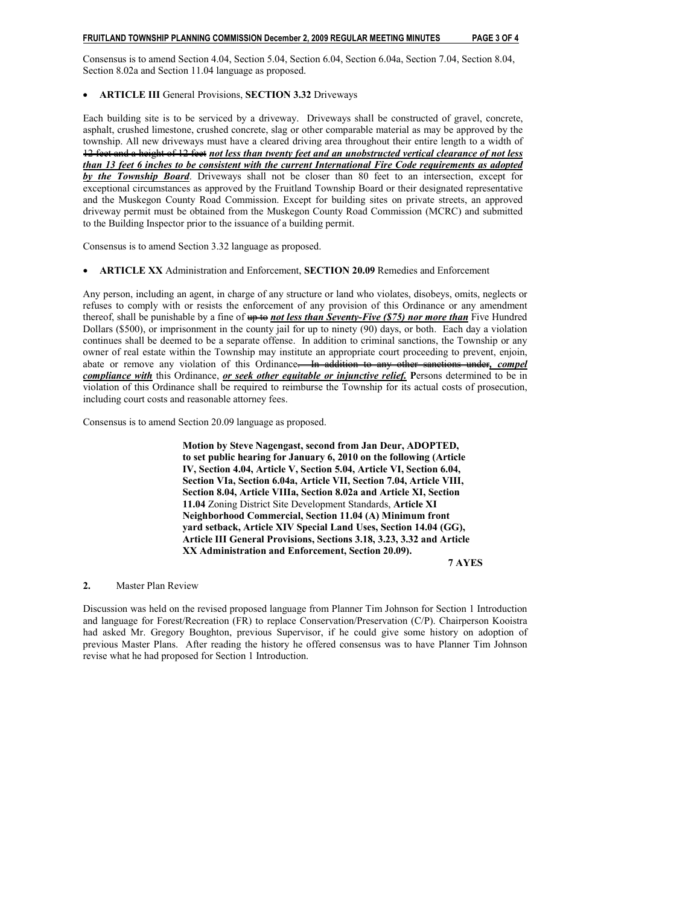Consensus is to amend Section 4.04, Section 5.04, Section 6.04, Section 6.04a, Section 7.04, Section 8.04, Section 8.02a and Section 11.04 language as proposed.

## • ARTICLE III General Provisions, SECTION 3.32 Driveways

Each building site is to be serviced by a driveway. Driveways shall be constructed of gravel, concrete, asphalt, crushed limestone, crushed concrete, slag or other comparable material as may be approved by the township. All new driveways must have a cleared driving area throughout their entire length to a width of 12 feet and a height of 12 feet not less than twenty feet and an unobstructed vertical clearance of not less than 13 feet 6 inches to be consistent with the current International Fire Code requirements as adopted by the Township Board. Driveways shall not be closer than 80 feet to an intersection, except for exceptional circumstances as approved by the Fruitland Township Board or their designated representative and the Muskegon County Road Commission. Except for building sites on private streets, an approved driveway permit must be obtained from the Muskegon County Road Commission (MCRC) and submitted to the Building Inspector prior to the issuance of a building permit.

Consensus is to amend Section 3.32 language as proposed.

#### • ARTICLE XX Administration and Enforcement, SECTION 20.09 Remedies and Enforcement

Any person, including an agent, in charge of any structure or land who violates, disobeys, omits, neglects or refuses to comply with or resists the enforcement of any provision of this Ordinance or any amendment thereof, shall be punishable by a fine of  $\frac{1}{4}$  and less than Seventy-Five (\$75) nor more than Five Hundred Dollars (\$500), or imprisonment in the county jail for up to ninety (90) days, or both. Each day a violation continues shall be deemed to be a separate offense. In addition to criminal sanctions, the Township or any owner of real estate within the Township may institute an appropriate court proceeding to prevent, enjoin, abate or remove any violation of this Ordinance. In addition to any other sanctions under, compel compliance with this Ordinance, or seek other equitable or injunctive relief. Persons determined to be in violation of this Ordinance shall be required to reimburse the Township for its actual costs of prosecution, including court costs and reasonable attorney fees.

Consensus is to amend Section 20.09 language as proposed.

 Motion by Steve Nagengast, second from Jan Deur, ADOPTED, to set public hearing for January 6, 2010 on the following (Article IV, Section 4.04, Article V, Section 5.04, Article VI, Section 6.04, Section VIa, Section 6.04a, Article VII, Section 7.04, Article VIII, Section 8.04, Article VIIIa, Section 8.02a and Article XI, Section 11.04 Zoning District Site Development Standards, Article XI Neighborhood Commercial, Section 11.04 (A) Minimum front yard setback, Article XIV Special Land Uses, Section 14.04 (GG), Article III General Provisions, Sections 3.18, 3.23, 3.32 and Article XX Administration and Enforcement, Section 20.09).

#### 7 AYES

### 2. Master Plan Review

Discussion was held on the revised proposed language from Planner Tim Johnson for Section 1 Introduction and language for Forest/Recreation (FR) to replace Conservation/Preservation (C/P). Chairperson Kooistra had asked Mr. Gregory Boughton, previous Supervisor, if he could give some history on adoption of previous Master Plans. After reading the history he offered consensus was to have Planner Tim Johnson revise what he had proposed for Section 1 Introduction.